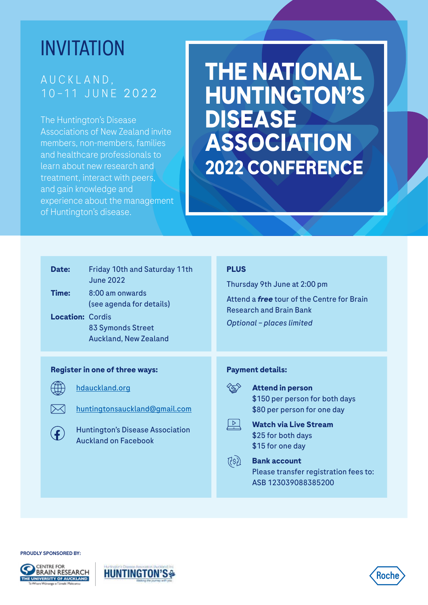## INVITATION

### A U C K L A N D , 10 –11 J U N E 2022

The Huntington's Disease Associations of New Zealand invite members, non-members, families and healthcare professionals to learn about new research and treatment, interact with peers, and gain knowledge and experience about the management of Huntington's disease.

# **THE NATIONAL HUNTINGTON'S DISEASE ASSOCIATION 2022 CONFERENCE**

| <b>Friday 10th and Saturday 11th</b><br>Date:<br><b>June 2022</b><br>Time:<br>8:00 am onwards<br>(see agenda for details)<br><b>Location: Cordis</b><br>83 Symonds Street<br><b>Auckland, New Zealand</b> | <b>PLUS</b><br>Thursday 9th June at 2:00 pm<br>Attend a <i>free</i> tour of the Centre for Brain<br><b>Research and Brain Bank</b><br><b>Optional - places limited</b>                                                                                                               |
|-----------------------------------------------------------------------------------------------------------------------------------------------------------------------------------------------------------|--------------------------------------------------------------------------------------------------------------------------------------------------------------------------------------------------------------------------------------------------------------------------------------|
| <b>Register in one of three ways:</b><br>hdauckland.org<br>huntingtonsauckland@gmail.com<br><b>Huntington's Disease Association</b><br><b>Auckland on Facebook</b>                                        | <b>Payment details:</b><br><b>Attend in person</b><br>\$150 per person for both days<br>\$80 per person for one day<br><b>Watch via Live Stream</b><br>\$25 for both days<br>\$15 for one day<br><b>Bank account</b><br>Please transfer registration fees to:<br>ASB 123039088385200 |

#### PROUDLY SPONSORED BY:





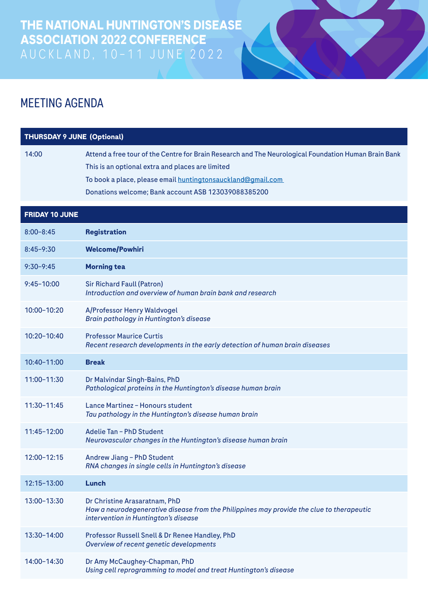

## MEETING AGENDA

| <b>THURSDAY 9 JUNE (Optional)</b> |                                                                                                                                                                                                                                                                                |
|-----------------------------------|--------------------------------------------------------------------------------------------------------------------------------------------------------------------------------------------------------------------------------------------------------------------------------|
| 14:00                             | Attend a free tour of the Centre for Brain Research and The Neurological Foundation Human Brain Bank<br>This is an optional extra and places are limited<br>To book a place, please email huntingtonsauckland@gmail.com<br>Donations welcome; Bank account ASB 123039088385200 |
| <b>FRIDAY 10 JUNE</b>             |                                                                                                                                                                                                                                                                                |
| $8:00 - 8:45$                     | <b>Registration</b>                                                                                                                                                                                                                                                            |
| $8:45 - 9:30$                     | <b>Welcome/Powhiri</b>                                                                                                                                                                                                                                                         |
| $9:30 - 9:45$                     | <b>Morning tea</b>                                                                                                                                                                                                                                                             |
| $9:45 - 10:00$                    | <b>Sir Richard Faull (Patron)</b><br>Introduction and overview of human brain bank and research                                                                                                                                                                                |
| 10:00-10:20                       | A/Professor Henry Waldvogel<br>Brain pathology in Huntington's disease                                                                                                                                                                                                         |
| $10:20 - 10:40$                   | <b>Professor Maurice Curtis</b><br>Recent research developments in the early detection of human brain diseases                                                                                                                                                                 |
| 10:40-11:00                       | <b>Break</b>                                                                                                                                                                                                                                                                   |
| 11:00-11:30                       | Dr Malvindar Singh-Bains, PhD<br>Pathological proteins in the Huntington's disease human brain                                                                                                                                                                                 |
| 11:30-11:45                       | Lance Martinez - Honours student<br>Tau pathology in the Huntington's disease human brain                                                                                                                                                                                      |
| 11:45-12:00                       | Adelie Tan - PhD Student<br>Neurovascular changes in the Huntington's disease human brain                                                                                                                                                                                      |
| 12:00-12:15                       | Andrew Jiang - PhD Student<br>RNA changes in single cells in Huntington's disease                                                                                                                                                                                              |
| 12:15-13:00                       | Lunch                                                                                                                                                                                                                                                                          |
| 13:00-13:30                       | Dr Christine Arasaratnam, PhD<br>How a neurodegenerative disease from the Philippines may provide the clue to therapeutic<br>intervention in Huntington's disease                                                                                                              |
| 13:30-14:00                       | Professor Russell Snell & Dr Renee Handley, PhD<br>Overview of recent genetic developments                                                                                                                                                                                     |
| 14:00-14:30                       | Dr Amy McCaughey-Chapman, PhD<br>Using cell reprogramming to model and treat Huntington's disease                                                                                                                                                                              |